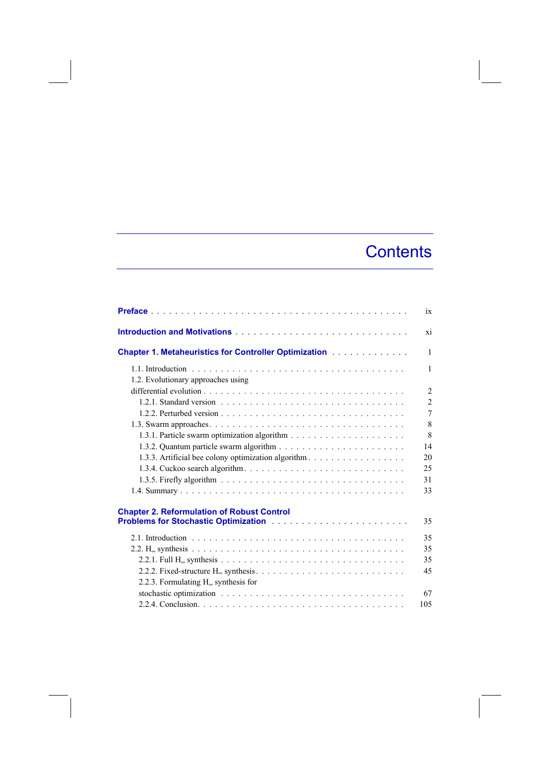## **Contents**

|                                                                                                  | ix             |
|--------------------------------------------------------------------------------------------------|----------------|
|                                                                                                  | xi             |
| <b>Chapter 1. Metaheuristics for Controller Optimization Mateurian Chapter 1. Metaheuristics</b> | $\mathbf{1}$   |
| 1.2. Evolutionary approaches using                                                               | 1              |
|                                                                                                  | $\overline{2}$ |
|                                                                                                  | $\overline{2}$ |
|                                                                                                  | 7              |
|                                                                                                  | 8              |
|                                                                                                  | 8              |
|                                                                                                  | 14             |
|                                                                                                  | 20             |
| 1.3.4. Cuckoo search algorithm                                                                   | 25             |
|                                                                                                  | 31             |
|                                                                                                  | 33             |
| <b>Chapter 2. Reformulation of Robust Control</b>                                                |                |
|                                                                                                  | 35             |
|                                                                                                  | 35             |
|                                                                                                  | 35             |
|                                                                                                  | 35             |
|                                                                                                  | 45             |
| 2.2.3. Formulating $H_{\infty}$ synthesis for                                                    |                |
|                                                                                                  | 67             |
|                                                                                                  | 105            |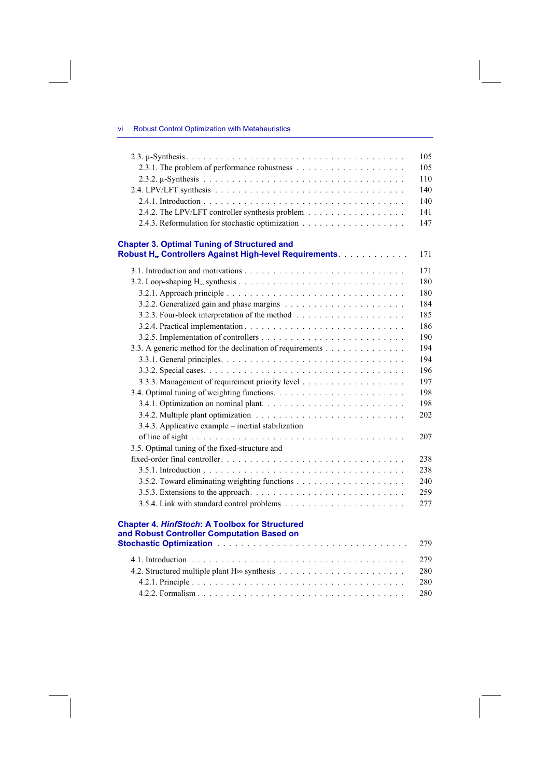|  |  |  |  |  | <b>Robust Control Optimization with Metaheuristics</b> |
|--|--|--|--|--|--------------------------------------------------------|
|--|--|--|--|--|--------------------------------------------------------|

| 2.4.2. The LPV/LFT controller synthesis problem                                                                           |  |
|---------------------------------------------------------------------------------------------------------------------------|--|
|                                                                                                                           |  |
| <b>Chapter 3. Optimal Tuning of Structured and</b><br>Robust H. Controllers Against High-level Requirements.              |  |
|                                                                                                                           |  |
|                                                                                                                           |  |
|                                                                                                                           |  |
|                                                                                                                           |  |
|                                                                                                                           |  |
|                                                                                                                           |  |
|                                                                                                                           |  |
|                                                                                                                           |  |
| 3.3. A generic method for the declination of requirements                                                                 |  |
|                                                                                                                           |  |
|                                                                                                                           |  |
|                                                                                                                           |  |
|                                                                                                                           |  |
|                                                                                                                           |  |
| 3.4.2. Multiple plant optimization $\ldots \ldots \ldots \ldots \ldots \ldots \ldots \ldots \ldots$                       |  |
| 3.4.3. Applicative example – inertial stabilization                                                                       |  |
|                                                                                                                           |  |
| 3.5. Optimal tuning of the fixed-structure and                                                                            |  |
|                                                                                                                           |  |
|                                                                                                                           |  |
|                                                                                                                           |  |
| 3.5.3. Extensions to the approach. $\ldots \ldots \ldots \ldots \ldots \ldots \ldots \ldots \ldots$                       |  |
|                                                                                                                           |  |
|                                                                                                                           |  |
| <b>Chapter 4. HinfStoch: A Toolbox for Structured</b>                                                                     |  |
| and Robust Controller Computation Based on                                                                                |  |
| Stochastic Optimization <b>Construction Construction</b> Construction Construction Construction Construction Construction |  |
|                                                                                                                           |  |
|                                                                                                                           |  |
|                                                                                                                           |  |

4.2.1. Principle . . . . . . . . . . . . . . . . . . . . . . . . . . . . . . . . . . . . . 280 4.2.2. Formalism . . . . . . . . . . . . . . . . . . . . . . . . . . . . . . . . . . . . 280